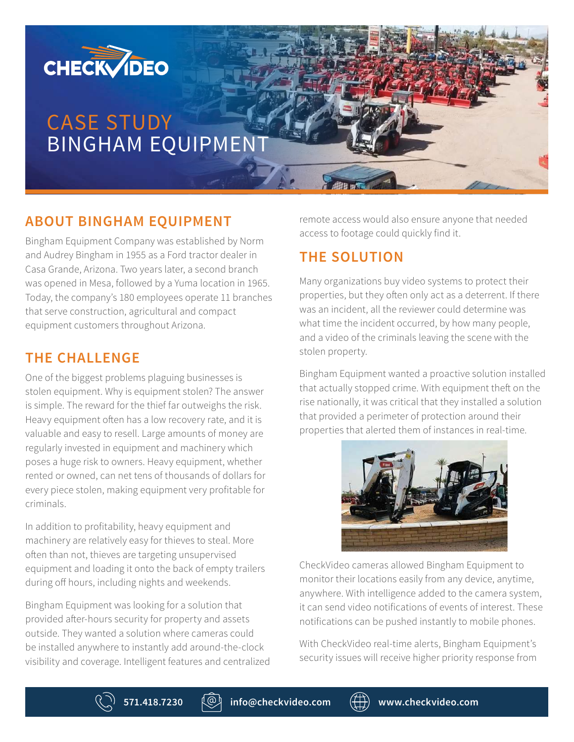

# CASE STUDY BINGHAM EQUIPMENT

## **ABOUT BINGHAM EQUIPMENT**

Bingham Equipment Company was established by Norm and Audrey Bingham in 1955 as a Ford tractor dealer in Casa Grande, Arizona. Two years later, a second branch was opened in Mesa, followed by a Yuma location in 1965. Today, the company's 180 employees operate 11 branches that serve construction, agricultural and compact equipment customers throughout Arizona.

#### **THE CHALLENGE**

One of the biggest problems plaguing businesses is stolen equipment. Why is equipment stolen? The answer is simple. The reward for the thief far outweighs the risk. Heavy equipment often has a low recovery rate, and it is valuable and easy to resell. Large amounts of money are regularly invested in equipment and machinery which poses a huge risk to owners. Heavy equipment, whether rented or owned, can net tens of thousands of dollars for every piece stolen, making equipment very profitable for criminals.

In addition to profitability, heavy equipment and machinery are relatively easy for thieves to steal. More often than not, thieves are targeting unsupervised equipment and loading it onto the back of empty trailers during off hours, including nights and weekends.

Bingham Equipment was looking for a solution that provided after-hours security for property and assets outside. They wanted a solution where cameras could be installed anywhere to instantly add around-the-clock visibility and coverage. Intelligent features and centralized remote access would also ensure anyone that needed access to footage could quickly find it.

## **THE SOLUTION**

Many organizations buy video systems to protect their properties, but they often only act as a deterrent. If there was an incident, all the reviewer could determine was what time the incident occurred, by how many people, and a video of the criminals leaving the scene with the stolen property.

Bingham Equipment wanted a proactive solution installed that actually stopped crime. With equipment theft on the rise nationally, it was critical that they installed a solution that provided a perimeter of protection around their properties that alerted them of instances in real-time.



CheckVideo cameras allowed Bingham Equipment to monitor their locations easily from any device, anytime, anywhere. With intelligence added to the camera system, it can send video notifications of events of interest. These notifications can be pushed instantly to mobile phones.

With CheckVideo real-time alerts, Bingham Equipment's security issues will receive higher priority response from